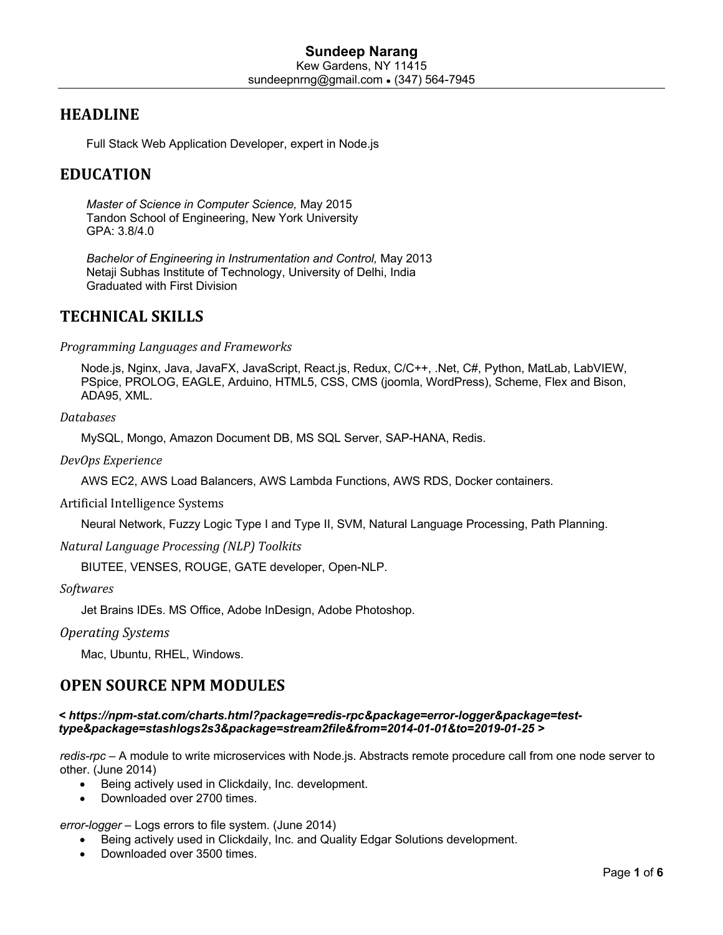## **HEADLINE**

Full Stack Web Application Developer, expert in Node.js

## **EDUCATION**

*Master of Science in Computer Science,* May 2015 Tandon School of Engineering, New York University GPA: 3.8/4.0

*Bachelor of Engineering in Instrumentation and Control,* May 2013 Netaji Subhas Institute of Technology, University of Delhi, India Graduated with First Division

## **TECHNICAL SKILLS**

*Programming Languages and Frameworks*

Node.js, Nginx, Java, JavaFX, JavaScript, React.js, Redux, C/C++, .Net, C#, Python, MatLab, LabVIEW, PSpice, PROLOG, EAGLE, Arduino, HTML5, CSS, CMS (joomla, WordPress), Scheme, Flex and Bison, ADA95, XML.

### *Databases*

MySQL, Mongo, Amazon Document DB, MS SQL Server, SAP-HANA, Redis.

*DevOps Experience*

AWS EC2, AWS Load Balancers, AWS Lambda Functions, AWS RDS, Docker containers.

Artificial Intelligence Systems

Neural Network, Fuzzy Logic Type I and Type II, SVM, Natural Language Processing, Path Planning.

*Natural Language Processing (NLP) Toolkits*

BIUTEE, VENSES, ROUGE, GATE developer, Open-NLP.

*Softwares*

Jet Brains IDEs. MS Office, Adobe InDesign, Adobe Photoshop.

*Operating Systems*

Mac, Ubuntu, RHEL, Windows.

## **OPEN SOURCE NPM MODULES**

### *< https://npm-stat.com/charts.html?package=redis-rpc&package=error-logger&package=testtype&package=stashlogs2s3&package=stream2file&from=2014-01-01&to=2019-01-25 >*

*redis-rpc* – A module to write microservices with Node.js. Abstracts remote procedure call from one node server to other. (June 2014)

- Being actively used in Clickdaily, Inc. development.
- Downloaded over 2700 times.

*error-logger* – Logs errors to file system. (June 2014)

- Being actively used in Clickdaily, Inc. and Quality Edgar Solutions development.
- Downloaded over 3500 times.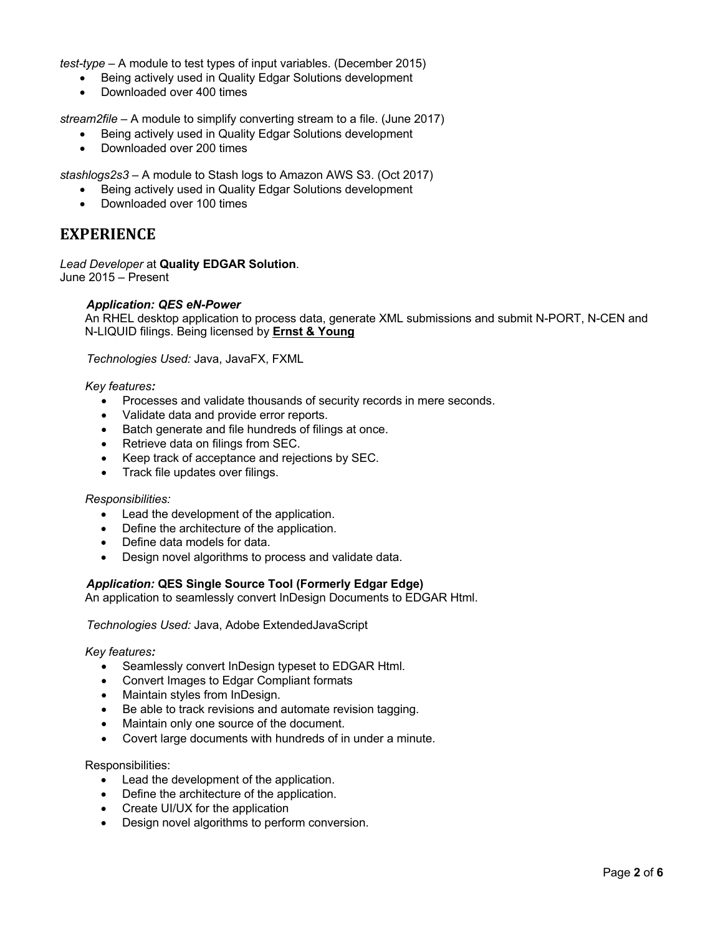*test-type* – A module to test types of input variables. (December 2015)

- Being actively used in Quality Edgar Solutions development
- Downloaded over 400 times

*stream2file* – A module to simplify converting stream to a file. (June 2017)

- Being actively used in Quality Edgar Solutions development
- Downloaded over 200 times

*stashlogs2s3* – A module to Stash logs to Amazon AWS S3. (Oct 2017)

- Being actively used in Quality Edgar Solutions development
- Downloaded over 100 times

## **EXPERIENCE**

*Lead Developer* at **Quality EDGAR Solution**. June 2015 – Present

## *Application: QES eN-Power*

An RHEL desktop application to process data, generate XML submissions and submit N-PORT, N-CEN and N-LIQUID filings. Being licensed by **Ernst & Young**

*Technologies Used:* Java, JavaFX, FXML

#### *Key features:*

- Processes and validate thousands of security records in mere seconds.
- Validate data and provide error reports.
- Batch generate and file hundreds of filings at once.
- Retrieve data on filings from SEC.
- Keep track of acceptance and rejections by SEC.
- Track file updates over filings.

#### *Responsibilities:*

- Lead the development of the application.
- Define the architecture of the application.
- Define data models for data.
- Design novel algorithms to process and validate data.

### *Application:* **QES Single Source Tool (Formerly Edgar Edge)**

An application to seamlessly convert InDesign Documents to EDGAR Html.

*Technologies Used:* Java, Adobe ExtendedJavaScript

## *Key features:*

- Seamlessly convert InDesign typeset to EDGAR Html.
- Convert Images to Edgar Compliant formats
- Maintain styles from InDesign.
- Be able to track revisions and automate revision tagging.
- Maintain only one source of the document.
- Covert large documents with hundreds of in under a minute.

#### Responsibilities:

- Lead the development of the application.
- Define the architecture of the application.
- Create UI/UX for the application
- Design novel algorithms to perform conversion.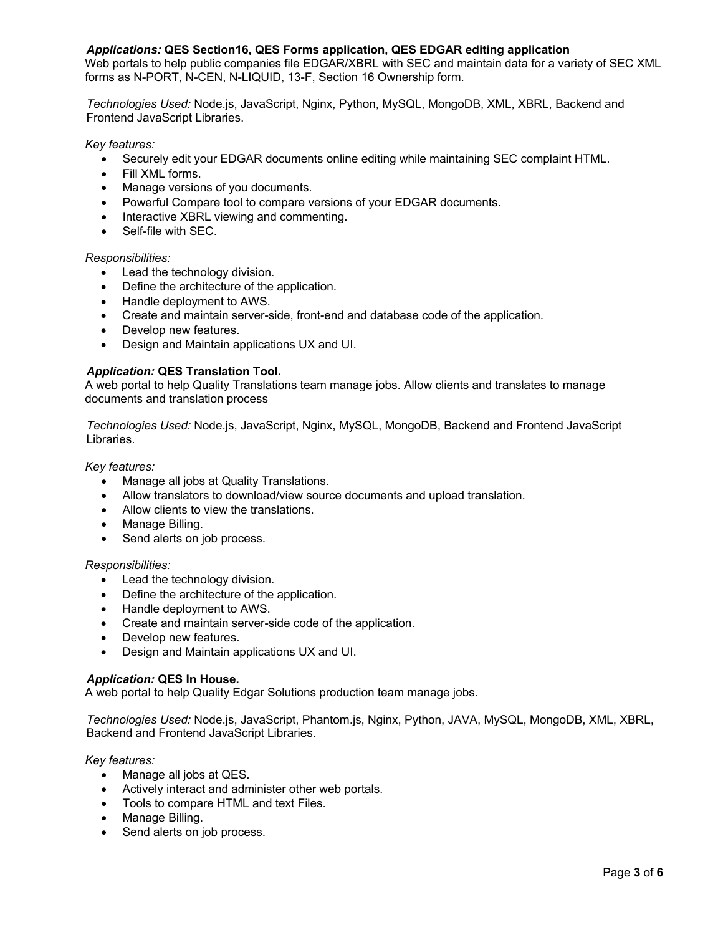## *Applications:* **QES Section16, QES Forms application, QES EDGAR editing application**

Web portals to help public companies file EDGAR/XBRL with SEC and maintain data for a variety of SEC XML forms as N-PORT, N-CEN, N-LIQUID, 13-F, Section 16 Ownership form.

*Technologies Used:* Node.js, JavaScript, Nginx, Python, MySQL, MongoDB, XML, XBRL, Backend and Frontend JavaScript Libraries.

*Key features:*

- Securely edit your EDGAR documents online editing while maintaining SEC complaint HTML.
- Fill XML forms.
- Manage versions of you documents.
- Powerful Compare tool to compare versions of your EDGAR documents.
- Interactive XBRL viewing and commenting.
- Self-file with SEC.

*Responsibilities:*

- Lead the technology division.
- Define the architecture of the application.
- Handle deployment to AWS.
- Create and maintain server-side, front-end and database code of the application.
- Develop new features.
- Design and Maintain applications UX and UI.

### *Application:* **QES Translation Tool.**

A web portal to help Quality Translations team manage jobs. Allow clients and translates to manage documents and translation process

*Technologies Used:* Node.js, JavaScript, Nginx, MySQL, MongoDB, Backend and Frontend JavaScript Libraries.

*Key features:*

- Manage all jobs at Quality Translations.
- Allow translators to download/view source documents and upload translation.
- Allow clients to view the translations.
- Manage Billing.
- Send alerts on job process.

### *Responsibilities:*

- Lead the technology division.
- Define the architecture of the application.
- Handle deployment to AWS.
- Create and maintain server-side code of the application.
- Develop new features.
- Design and Maintain applications UX and UI.

### *Application:* **QES In House.**

A web portal to help Quality Edgar Solutions production team manage jobs.

*Technologies Used:* Node.js, JavaScript, Phantom.js, Nginx, Python, JAVA, MySQL, MongoDB, XML, XBRL, Backend and Frontend JavaScript Libraries.

*Key features:*

- Manage all jobs at QES.
- Actively interact and administer other web portals.
- Tools to compare HTML and text Files.
- Manage Billing.
- Send alerts on job process.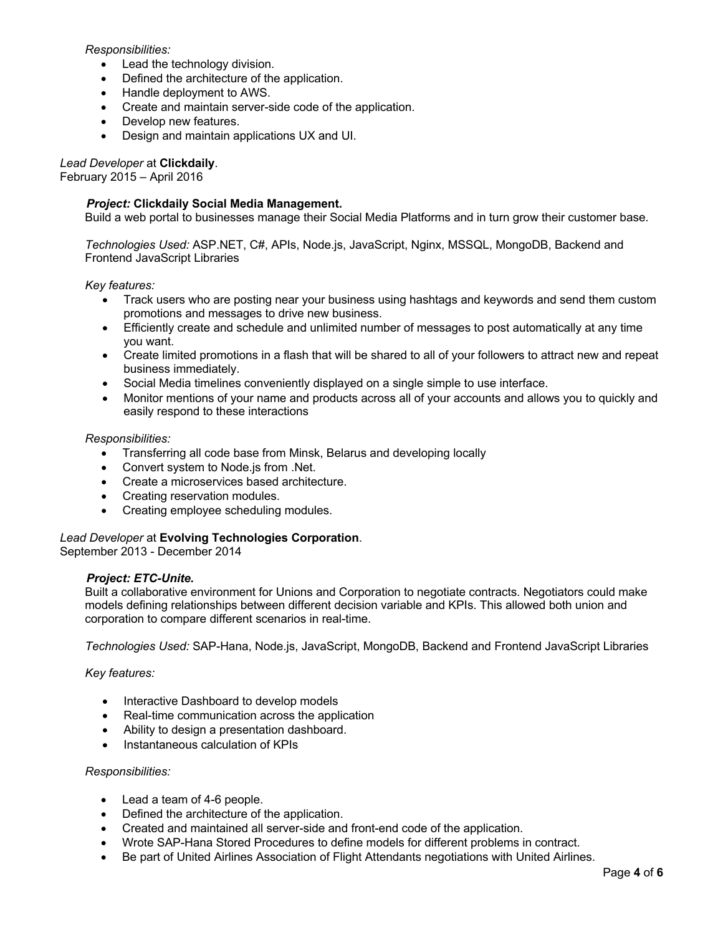## *Responsibilities:*

- Lead the technology division.
- Defined the architecture of the application.
- Handle deployment to AWS.
- Create and maintain server-side code of the application.
- Develop new features.
- Design and maintain applications UX and UI.

#### *Lead Developer* at **Clickdaily**. February 2015 – April 2016

## *Project:* **Clickdaily Social Media Management.**

Build a web portal to businesses manage their Social Media Platforms and in turn grow their customer base.

*Technologies Used:* ASP.NET, C#, APIs, Node.js, JavaScript, Nginx, MSSQL, MongoDB, Backend and Frontend JavaScript Libraries

*Key features:*

- Track users who are posting near your business using hashtags and keywords and send them custom promotions and messages to drive new business.
- Efficiently create and schedule and unlimited number of messages to post automatically at any time you want.
- Create limited promotions in a flash that will be shared to all of your followers to attract new and repeat business immediately.
- Social Media timelines conveniently displayed on a single simple to use interface.
- Monitor mentions of your name and products across all of your accounts and allows you to quickly and easily respond to these interactions

### *Responsibilities:*

- Transferring all code base from Minsk, Belarus and developing locally
- Convert system to Node.js from .Net.
- Create a microservices based architecture.
- Creating reservation modules.
- Creating employee scheduling modules.

## *Lead Developer* at **Evolving Technologies Corporation**.

September 2013 - December 2014

### *Project: ETC-Unite.*

Built a collaborative environment for Unions and Corporation to negotiate contracts. Negotiators could make models defining relationships between different decision variable and KPIs. This allowed both union and corporation to compare different scenarios in real-time.

*Technologies Used:* SAP-Hana, Node.js, JavaScript, MongoDB, Backend and Frontend JavaScript Libraries

*Key features:*

- Interactive Dashboard to develop models
- Real-time communication across the application
- Ability to design a presentation dashboard.
- Instantaneous calculation of KPIs

### *Responsibilities:*

- Lead a team of 4-6 people.
- Defined the architecture of the application.
- Created and maintained all server-side and front-end code of the application.
- Wrote SAP-Hana Stored Procedures to define models for different problems in contract.
- Be part of United Airlines Association of Flight Attendants negotiations with United Airlines.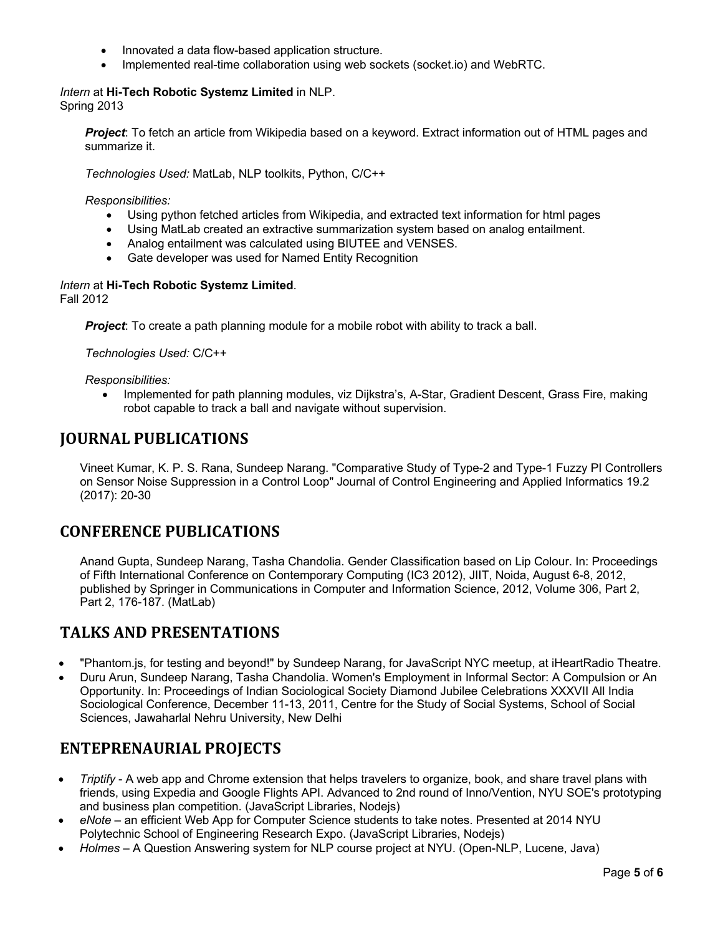- Innovated a data flow-based application structure.
- Implemented real-time collaboration using web sockets (socket.io) and WebRTC.

*Intern* at **Hi-Tech Robotic Systemz Limited** in NLP. Spring 2013

*Project*: To fetch an article from Wikipedia based on a keyword. Extract information out of HTML pages and summarize it.

*Technologies Used:* MatLab, NLP toolkits, Python, C/C++

*Responsibilities:*

- Using python fetched articles from Wikipedia, and extracted text information for html pages
- Using MatLab created an extractive summarization system based on analog entailment.
- Analog entailment was calculated using BIUTEE and VENSES.
- Gate developer was used for Named Entity Recognition

#### *Intern* at **Hi-Tech Robotic Systemz Limited**. Fall 2012

*Project*: To create a path planning module for a mobile robot with ability to track a ball.

*Technologies Used:* C/C++

*Responsibilities:*

• Implemented for path planning modules, viz Dijkstra's, A-Star, Gradient Descent, Grass Fire, making robot capable to track a ball and navigate without supervision.

## **JOURNAL PUBLICATIONS**

Vineet Kumar, K. P. S. Rana, Sundeep Narang. "Comparative Study of Type-2 and Type-1 Fuzzy PI Controllers on Sensor Noise Suppression in a Control Loop" Journal of Control Engineering and Applied Informatics 19.2 (2017): 20-30

## **CONFERENCE PUBLICATIONS**

Anand Gupta, Sundeep Narang, Tasha Chandolia. Gender Classification based on Lip Colour. In: Proceedings of Fifth International Conference on Contemporary Computing (IC3 2012), JIIT, Noida, August 6-8, 2012, published by Springer in Communications in Computer and Information Science, 2012, Volume 306, Part 2, Part 2, 176-187. (MatLab)

## **TALKS AND PRESENTATIONS**

- "Phantom.js, for testing and beyond!" by Sundeep Narang, for JavaScript NYC meetup, at iHeartRadio Theatre.
- Duru Arun, Sundeep Narang, Tasha Chandolia. Women's Employment in Informal Sector: A Compulsion or An Opportunity. In: Proceedings of Indian Sociological Society Diamond Jubilee Celebrations XXXVII All India Sociological Conference, December 11-13, 2011, Centre for the Study of Social Systems, School of Social Sciences, Jawaharlal Nehru University, New Delhi

## **ENTEPRENAURIAL PROJECTS**

- *Triptify* A web app and Chrome extension that helps travelers to organize, book, and share travel plans with friends, using Expedia and Google Flights API. Advanced to 2nd round of Inno/Vention, NYU SOE's prototyping and business plan competition. (JavaScript Libraries, Nodejs)
- *eNote* an efficient Web App for Computer Science students to take notes. Presented at 2014 NYU Polytechnic School of Engineering Research Expo. (JavaScript Libraries, Nodejs)
- *Holmes* A Question Answering system for NLP course project at NYU. (Open-NLP, Lucene, Java)